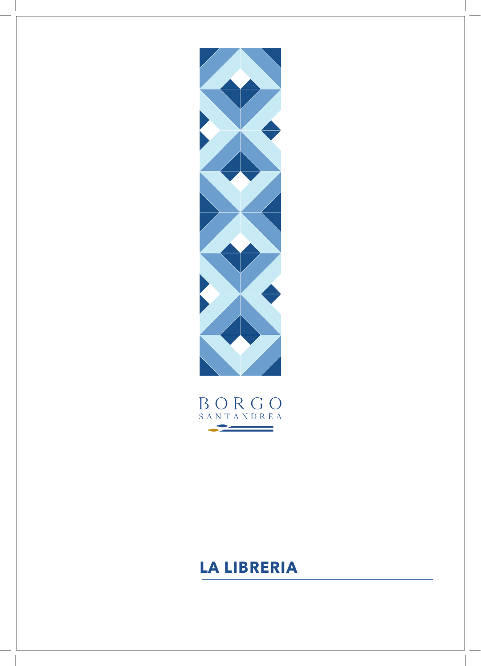

BORGO SANTANDREA 

# **LA LIBRERIA**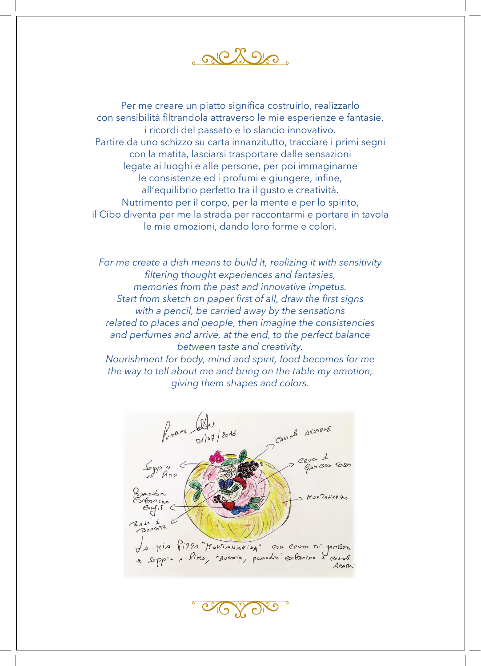aliko.

Per me creare un piatto significa costruirlo, realizzarlo con sensibilità filtrandola attraverso le mie esperienze e fantasie, i ricordi del passato e lo slancio innovativo. Partire da uno schizzo su carta innanzitutto, tracciare i primi segni con la matita, lasciarsi trasportare dalle sensazioni legate ai luoghi e alle persone, per poi immaginarne le consistenze ed i profumi e giungere, infine, all'equilibrio perfetto tra il gusto e creatività. Nutrimento per il corpo, per la mente e per lo spirito, il Cibo diventa per me la strada per raccontarmi e portare in tavola le mie emozioni, dando loro forme e colori.

*For me create a dish means to build it, realizing it with sensitivity filtering thought experiences and fantasies, memories from the past and innovative impetus. Start from sketch on paper first of all, draw the first signs with a pencil, be carried away by the sensations related to places and people, then imagine the consistencies and perfumes and arrive, at the end, to the perfect balance between taste and creativity. Nourishment for body, mind and spirit, food becomes for me the way to tell about me and bring on the table my emotion, giving them shapes and colors.*

Reare Alu CAVIAB ADARNE ate Bes Ross KONTANARIA LA MIA PIPPA MONTANAPINA" CON CRUDO Di parBos e sippia a litte, Bonnete, pourodro contantro à coural Amm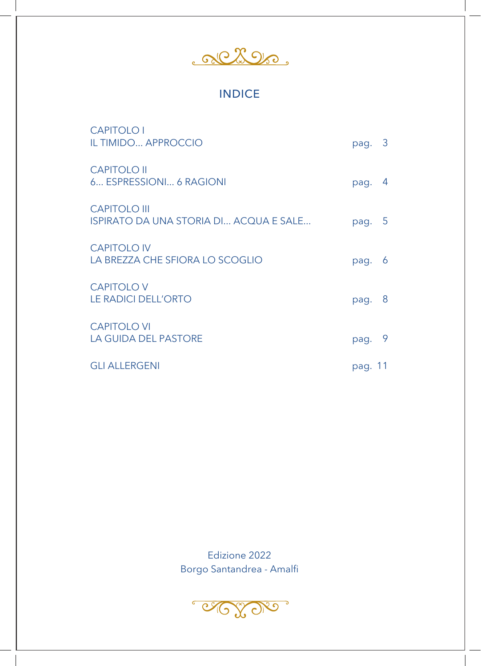<u>Reflexere</u>

## INDICE

| <b>CAPITOLO I</b><br><b>IL TIMIDO APPROCCIO</b>                      | pag. 3  |      |
|----------------------------------------------------------------------|---------|------|
| <b>CAPITOLO II</b><br>6 ESPRESSIONI 6 RAGIONI                        | pag.    | 4    |
| <b>CAPITOLO III</b><br><b>ISPIRATO DA UNA STORIA DI ACQUA E SALE</b> | pag.    | $-5$ |
| <b>CAPITOLO IV</b><br>LA BREZZA CHE SFIORA LO SCOGLIO                | pag.    | 6    |
| <b>CAPITOLO V</b><br><b>LE RADICI DELL'ORTO</b>                      | pag.    | 8    |
| <b>CAPITOLO VI</b><br><b>LA GUIDA DEL PASTORE</b>                    | pag.    | 9    |
| <b>GLI ALLERGENI</b>                                                 | pag. 11 |      |

Edizione 2022 Borgo Santandrea - Amalfi

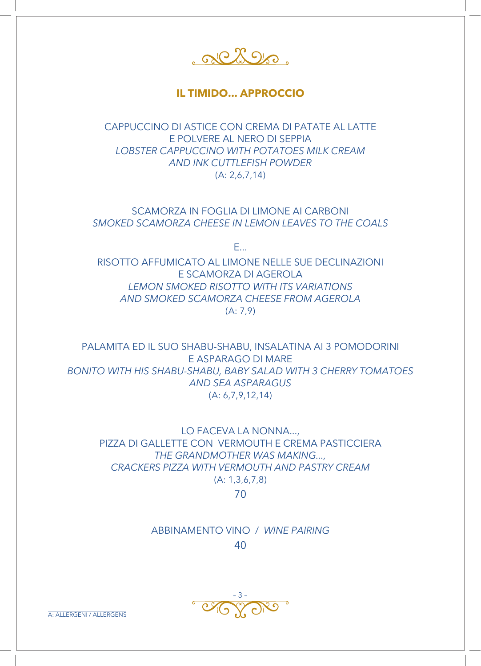albos.

## **IL TIMIDO... APPROCCIO**

CAPPUCCINO DI ASTICE CON CREMA DI PATATE AL LATTE E POLVERE AL NERO DI SEPPIA *LOBSTER CAPPUCCINO WITH POTATOES MILK CREAM AND INK CUTTLEFISH POWDER*  (A: 2,6,7,14)

SCAMORZA IN FOGLIA DI LIMONE AI CARBONI *SMOKED SCAMORZA CHEESE IN LEMON LEAVES TO THE COALS* 

E...

RISOTTO AFFUMICATO AL LIMONE NELLE SUE DECLINAZIONI E SCAMORZA DI AGEROLA *LEMON SMOKED RISOTTO WITH ITS VARIATIONS AND SMOKED SCAMORZA CHEESE FROM AGEROLA*  $(A: 7, 9)$ 

PALAMITA ED IL SUO SHABU-SHABU, INSALATINA AI 3 POMODORINI E ASPARAGO DI MARE *BONITO WITH HIS SHABU-SHABU, BABY SALAD WITH 3 CHERRY TOMATOES AND SEA ASPARAGUS* (A: 6,7,9,12,14)

LO FACEVA LA NONNA..., PIZZA DI GALLETTE CON VERMOUTH E CREMA PASTICCIERA *THE GRANDMOTHER WAS MAKING..., CRACKERS PIZZA WITH VERMOUTH AND PASTRY CREAM* (A: 1,3,6,7,8)

70

ABBINAMENTO VINO / *WINE PAIRING* 40

 $\sqrt{2}$  $\sqrt{\frac{2}{\sqrt{3}}}$ 

A: ALLERGENI / ALLERGENS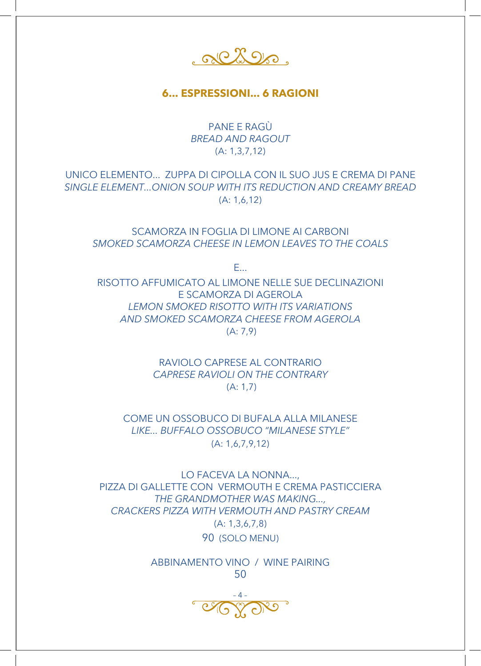albos.

**6... ESPRESSIONI... 6 RAGIONI**

PANE E RAGÙ *BREAD AND RAGOUT* (A: 1,3,7,12)

UNICO ELEMENTO... ZUPPA DI CIPOLLA CON IL SUO JUS E CREMA DI PANE *SINGLE ELEMENT...ONION SOUP WITH ITS REDUCTION AND CREAMY BREAD*  (A: 1,6,12)

SCAMORZA IN FOGLIA DI LIMONE AI CARBONI *SMOKED SCAMORZA CHEESE IN LEMON LEAVES TO THE COALS*

E...

RISOTTO AFFUMICATO AL LIMONE NELLE SUE DECLINAZIONI E SCAMORZA DI AGEROLA *LEMON SMOKED RISOTTO WITH ITS VARIATIONS AND SMOKED SCAMORZA CHEESE FROM AGEROLA* (A: 7,9)

> RAVIOLO CAPRESE AL CONTRARIO *CAPRESE RAVIOLI ON THE CONTRARY* (A: 1,7)

COME UN OSSOBUCO DI BUFALA ALLA MILANESE *LIKE... BUFFALO OSSOBUCO "MILANESE STYLE"* (A: 1,6,7,9,12)

LO FACEVA LA NONNA..., PIZZA DI GALLETTE CON VERMOUTH E CREMA PASTICCIERA *THE GRANDMOTHER WAS MAKING..., CRACKERS PIZZA WITH VERMOUTH AND PASTRY CREAM* (A: 1,3,6,7,8) 90 (SOLO MENU)

> ABBINAMENTO VINO / WINE PAIRING 50

– 4 –  $\overline{\mathrm{O}}$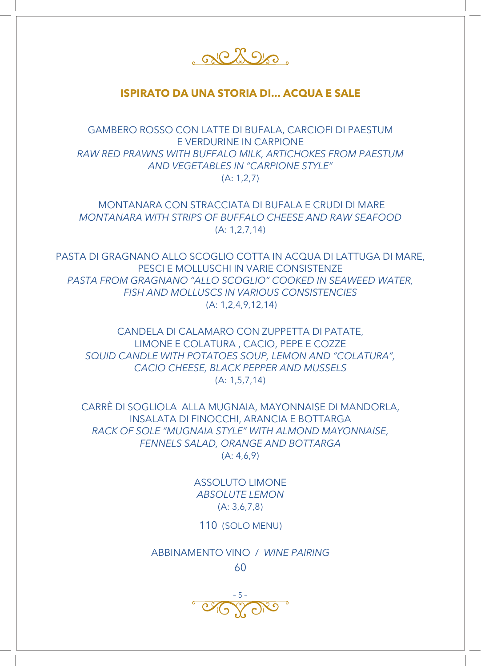albos.

## **ISPIRATO DA UNA STORIA DI... ACQUA E SALE**

GAMBERO ROSSO CON LATTE DI BUFALA, CARCIOFI DI PAESTUM E VERDURINE IN CARPIONE *RAW RED PRAWNS WITH BUFFALO MILK, ARTICHOKES FROM PAESTUM AND VEGETABLES IN "CARPIONE STYLE"*  (A: 1,2,7)

 MONTANARA CON STRACCIATA DI BUFALA E CRUDI DI MARE *MONTANARA WITH STRIPS OF BUFFALO CHEESE AND RAW SEAFOOD* (A: 1,2,7,14)

PASTA DI GRAGNANO ALLO SCOGLIO COTTA IN ACQUA DI LATTUGA DI MARE, PESCI E MOLLUSCHI IN VARIE CONSISTENZE *PASTA FROM GRAGNANO "ALLO SCOGLIO" COOKED IN SEAWEED WATER, FISH AND MOLLUSCS IN VARIOUS CONSISTENCIES*  (A: 1,2,4,9,12,14)

CANDELA DI CALAMARO CON ZUPPETTA DI PATATE, LIMONE E COLATURA , CACIO, PEPE E COZZE *SQUID CANDLE WITH POTATOES SOUP, LEMON AND "COLATURA", CACIO CHEESE, BLACK PEPPER AND MUSSELS*  (A: 1,5,7,14)

CARRÈ DI SOGLIOLA ALLA MUGNAIA, MAYONNAISE DI MANDORLA, INSALATA DI FINOCCHI, ARANCIA E BOTTARGA *RACK OF SOLE "MUGNAIA STYLE" WITH ALMOND MAYONNAISE, FENNELS SALAD, ORANGE AND BOTTARGA*   $(A: 4, 6, 9)$ 

> ASSOLUTO LIMONE *ABSOLUTE LEMON*  (A: 3,6,7,8)

110 (SOLO MENU)

ABBINAMENTO VINO / *WINE PAIRING*

60

 $-C(X-1)$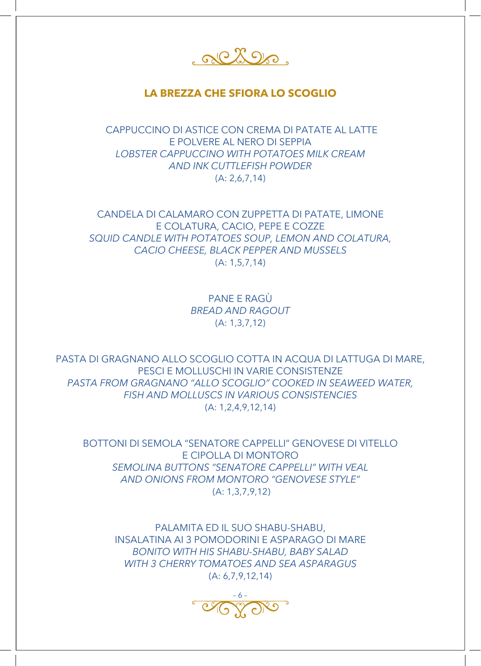albos.

## **LA BREZZA CHE SFIORA LO SCOGLIO**

 CAPPUCCINO DI ASTICE CON CREMA DI PATATE AL LATTE E POLVERE AL NERO DI SEPPIA *LOBSTER CAPPUCCINO WITH POTATOES MILK CREAM AND INK CUTTLEFISH POWDER*  (A: 2,6,7,14)

CANDELA DI CALAMARO CON ZUPPETTA DI PATATE, LIMONE E COLATURA, CACIO, PEPE E COZZE *SQUID CANDLE WITH POTATOES SOUP, LEMON AND COLATURA, CACIO CHEESE, BLACK PEPPER AND MUSSELS*  (A: 1,5,7,14)

> PANE E RAGÙ *BREAD AND RAGOUT*  (A: 1,3,7,12)

PASTA DI GRAGNANO ALLO SCOGLIO COTTA IN ACQUA DI LATTUGA DI MARE, PESCI E MOLLUSCHI IN VARIE CONSISTENZE *PASTA FROM GRAGNANO "ALLO SCOGLIO" COOKED IN SEAWEED WATER, FISH AND MOLLUSCS IN VARIOUS CONSISTENCIES*  (A: 1,2,4,9,12,14)

BOTTONI DI SEMOLA "SENATORE CAPPELLI" GENOVESE DI VITELLO E CIPOLLA DI MONTORO *SEMOLINA BUTTONS "SENATORE CAPPELLI" WITH VEAL AND ONIONS FROM MONTORO "GENOVESE STYLE"* (A: 1,3,7,9,12)

PALAMITA ED IL SUO SHABU-SHABU, INSALATINA AI 3 POMODORINI E ASPARAGO DI MARE *BONITO WITH HIS SHABU-SHABU, BABY SALAD WITH 3 CHERRY TOMATOES AND SEA ASPARAGUS*  (A: 6,7,9,12,14)

– 6 –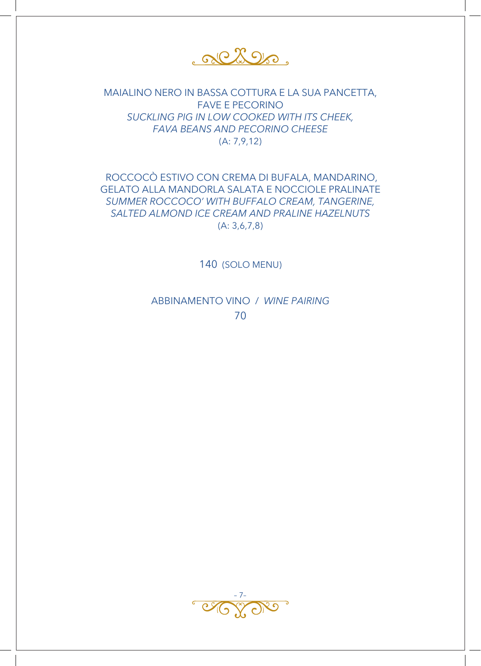<u>RCLOR.</u>

MAIALINO NERO IN BASSA COTTURA E LA SUA PANCETTA, **FAVE E PECORINO** SUCKLING PIG IN LOW COOKED WITH ITS CHEEK, FAVA BEANS AND PECORINO CHEESE  $(A: 7, 9, 12)$ 

ROCCOCÒ ESTIVO CON CREMA DI BUFALA, MANDARINO, **GELATO ALLA MANDORLA SALATA E NOCCIOLE PRALINATE** SUMMER ROCCOCO' WITH BUFFALO CREAM, TANGERINE, SALTED ALMOND ICE CREAM AND PRALINE HAZELNUTS  $(A: 3, 6, 7, 8)$ 

140 (SOLO MENU)

ABBINAMENTO VINO / WINE PAIRING 70

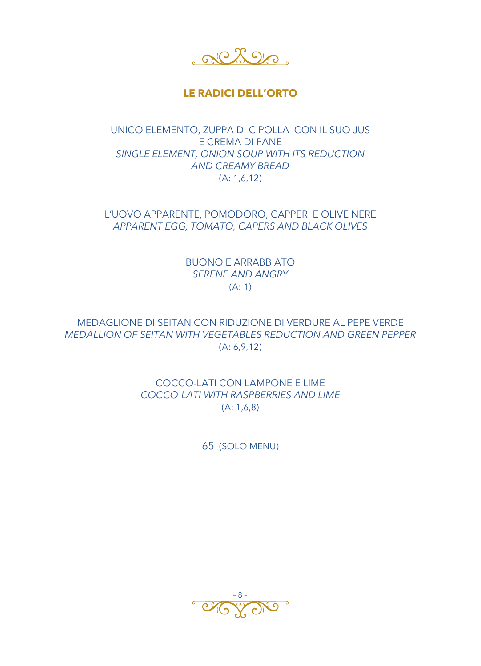<u>RCLOR</u>

## **LE RADICI DELL'ORTO**

UNICO ELEMENTO, ZUPPA DI CIPOLLA CON IL SUO JUS E CREMA DI PANE *SINGLE ELEMENT, ONION SOUP WITH ITS REDUCTION AND CREAMY BREAD*  (A: 1,6,12)

L'UOVO APPARENTE, POMODORO, CAPPERI E OLIVE NERE *APPARENT EGG, TOMATO, CAPERS AND BLACK OLIVES* 

> BUONO E ARRABBIATO *SERENE AND ANGRY* (A: 1)

MEDAGLIONE DI SEITAN CON RIDUZIONE DI VERDURE AL PEPE VERDE *MEDALLION OF SEITAN WITH VEGETABLES REDUCTION AND GREEN PEPPER*  (A: 6,9,12)

> COCCO-LATI CON LAMPONE E LIME *COCCO-LATI WITH RASPBERRIES AND LIME*  (A: 1,6,8)

> > 65 (SOLO MENU)

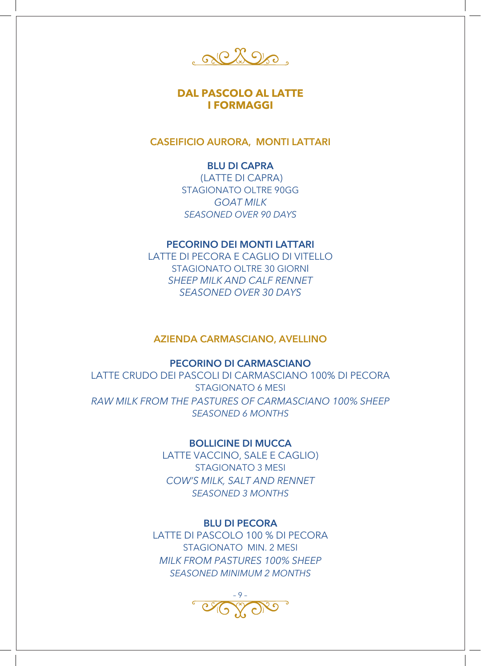albos.

## **DAL PASCOLO AL LATTE I FORMAGGI**

**CASEIFICIO AURORA, MONTI LATTARI**

## **BLU DI CAPRA**

 (LATTE DI CAPRA) STAGIONATO OLTRE 90GG *GOAT MILK SEASONED OVER 90 DAYS*

## **PECORINO DEI MONTI LATTARI**

LATTE DI PECORA E CAGLIO DI VITELLO STAGIONATO OLTRE 30 GIORNI *SHEEP MILK AND CALF RENNET SEASONED OVER 30 DAYS*

#### **AZIENDA CARMASCIANO, AVELLINO**

## **PECORINO DI CARMASCIANO**

LATTE CRUDO DEI PASCOLI DI CARMASCIANO 100% DI PECORA STAGIONATO 6 MESI *RAW MILK FROM THE PASTURES OF CARMASCIANO 100% SHEEP SEASONED 6 MONTHS* 

### **BOLLICINE DI MUCCA**

LATTE VACCINO, SALE E CAGLIO) STAGIONATO 3 MESI *COW'S MILK, SALT AND RENNET SEASONED 3 MONTHS*

## **BLU DI PECORA**

LATTE DI PASCOLO 100 % DI PECORA STAGIONATO MIN. 2 MESI *MILK FROM PASTURES 100% SHEEP SEASONED MINIMUM 2 MONTHS* 

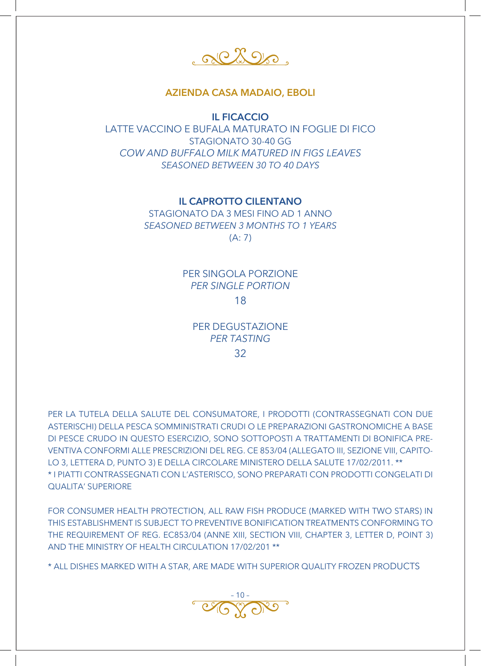albos.

## **AZIENDA CASA MADAIO, EBOLI**

**IL FICACCIO**

LATTE VACCINO E BUFALA MATURATO IN FOGLIE DI FICO STAGIONATO 30-40 GG *COW AND BUFFALO MILK MATURED IN FIGS LEAVES SEASONED BETWEEN 30 TO 40 DAYS* 

**IL CAPROTTO CILENTANO**

STAGIONATO DA 3 MESI FINO AD 1 ANNO *SEASONED BETWEEN 3 MONTHS TO 1 YEARS*  (A: 7)

> PER SINGOLA PORZIONE *PER SINGLE PORTION* 18

PER DEGUSTAZIONE *PER TASTING*

32

PER LA TUTELA DELLA SALUTE DEL CONSUMATORE, I PRODOTTI (CONTRASSEGNATI CON DUE ASTERISCHI) DELLA PESCA SOMMINISTRATI CRUDI O LE PREPARAZIONI GASTRONOMICHE A BASE DI PESCE CRUDO IN QUESTO ESERCIZIO, SONO SOTTOPOSTI A TRATTAMENTI DI BONIFICA PRE-VENTIVA CONFORMI ALLE PRESCRIZIONI DEL REG. CE 853/04 (ALLEGATO III, SEZIONE VIII, CAPITO-LO 3, LETTERA D, PUNTO 3) E DELLA CIRCOLARE MINISTERO DELLA SALUTE 17/02/2011. \*\* \* I PIATTI CONTRASSEGNATI CON L'ASTERISCO, SONO PREPARATI CON PRODOTTI CONGELATI DI QUALITA' SUPERIORE

FOR CONSUMER HEALTH PROTECTION, ALL RAW FISH PRODUCE (MARKED WITH TWO STARS) IN THIS ESTABLISHMENT IS SUBJECT TO PREVENTIVE BONIFICATION TREATMENTS CONFORMING TO THE REQUIREMENT OF REG. EC853/04 (ANNE XIII, SECTION VIII, CHAPTER 3, LETTER D, POINT 3) AND THE MINISTRY OF HEALTH CIRCULATION 17/02/201 \*\*

\* ALL DISHES MARKED WITH A STAR, ARE MADE WITH SUPERIOR QUALITY FROZEN PRODUCTS